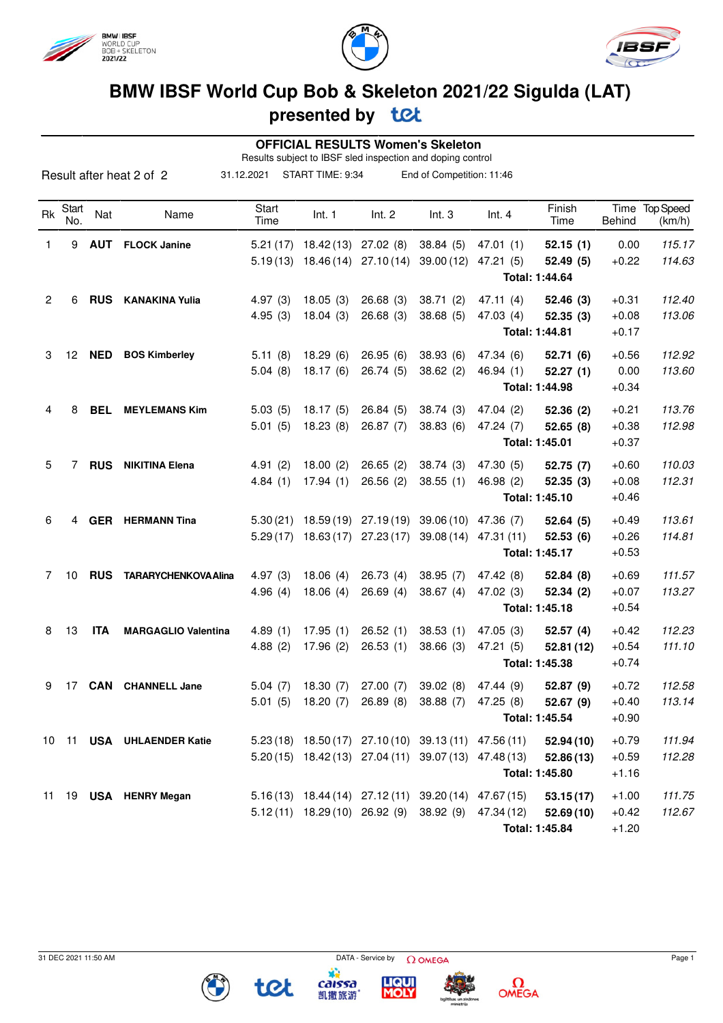





## **BMW IBSF World Cup Bob & Skeleton 2021/22 Sigulda (LAT)**

### **presented by**

| <b>OFFICIAL RESULTS Women's Skeleton</b><br>Results subject to IBSF sled inspection and doping control |              |            |                             |               |                                                       |                       |                           |            |                |               |                          |
|--------------------------------------------------------------------------------------------------------|--------------|------------|-----------------------------|---------------|-------------------------------------------------------|-----------------------|---------------------------|------------|----------------|---------------|--------------------------|
| Result after heat 2 of 2                                                                               |              |            |                             | 31.12.2021    | START TIME: 9:34                                      |                       | End of Competition: 11:46 |            |                |               |                          |
| Rk                                                                                                     | Start<br>No. | Nat        | Name                        | Start<br>Time | Int. 1                                                | Int. 2                | Int.3                     | Int.4      | Finish<br>Time | <b>Behind</b> | Time Top Speed<br>(km/h) |
| 1                                                                                                      | 9            | <b>AUT</b> | <b>FLOCK Janine</b>         | 5.21(17)      |                                                       | 18.42 (13) 27.02 (8)  | 38.84(5)                  | 47.01(1)   | 52.15(1)       | 0.00          | 115.17                   |
|                                                                                                        |              |            |                             |               | $5.19(13)$ $18.46(14)$ $27.10(14)$ $39.00(12)$        |                       |                           | 47.21(5)   | 52.49 (5)      | $+0.22$       | 114.63                   |
|                                                                                                        |              |            |                             |               |                                                       |                       |                           |            | Total: 1:44.64 |               |                          |
| 2                                                                                                      | 6            | <b>RUS</b> | <b>KANAKINA Yulia</b>       | 4.97(3)       | 18.05(3)                                              | 26.68(3)              | 38.71(2)                  | 47.11(4)   | 52.46(3)       | $+0.31$       | 112.40                   |
|                                                                                                        |              |            |                             | 4.95(3)       | 18.04(3)                                              | 26.68(3)              | 38.68(5)                  | 47.03 (4)  | 52.35(3)       | $+0.08$       | 113.06                   |
|                                                                                                        |              |            |                             |               |                                                       |                       |                           |            | Total: 1:44.81 | $+0.17$       |                          |
| 3                                                                                                      | 12           | <b>NED</b> | <b>BOS Kimberley</b>        | 5.11(8)       | 18.29(6)                                              | 26.95(6)              | 38.93(6)                  | 47.34 (6)  | 52.71(6)       | $+0.56$       | 112.92                   |
|                                                                                                        |              |            |                             | 5.04(8)       | 18.17(6)                                              | 26.74(5)              | 38.62(2)                  | 46.94(1)   | 52.27(1)       | 0.00          | 113.60                   |
|                                                                                                        |              |            |                             |               |                                                       |                       |                           |            | Total: 1:44.98 | $+0.34$       |                          |
| 4                                                                                                      | 8            | <b>BEL</b> | <b>MEYLEMANS Kim</b>        | 5.03(5)       | 18.17(5)                                              | 26.84(5)              | 38.74(3)                  | 47.04(2)   | 52.36(2)       | $+0.21$       | 113.76                   |
|                                                                                                        |              |            |                             | 5.01(5)       | 18.23(8)                                              | 26.87(7)              | 38.83(6)                  | 47.24(7)   | 52.65(8)       | $+0.38$       | 112.98                   |
|                                                                                                        |              |            |                             |               |                                                       |                       |                           |            | Total: 1:45.01 | $+0.37$       |                          |
| 5                                                                                                      | 7            | <b>RUS</b> | <b>NIKITINA Elena</b>       | 4.91(2)       | 18.00(2)                                              | 26.65(2)              | 38.74(3)                  | 47.30 (5)  | 52.75(7)       | $+0.60$       | 110.03                   |
|                                                                                                        |              |            |                             | 4.84(1)       | 17.94(1)                                              | 26.56(2)              | 38.55(1)                  | 46.98 (2)  | 52.35(3)       | $+0.08$       | 112.31                   |
|                                                                                                        |              |            |                             |               |                                                       |                       |                           |            | Total: 1:45.10 | $+0.46$       |                          |
| 6                                                                                                      | 4            | <b>GER</b> | <b>HERMANN Tina</b>         | 5.30(21)      | 18.59 (19)                                            | 27.19 (19)            | 39.06 (10)                | 47.36 (7)  | 52.64(5)       | $+0.49$       | 113.61                   |
|                                                                                                        |              |            |                             | 5.29(17)      |                                                       | 18.63 (17) 27.23 (17) | 39.08 (14)                | 47.31 (11) | 52.53(6)       | $+0.26$       | 114.81                   |
|                                                                                                        |              |            |                             |               |                                                       |                       |                           |            | Total: 1:45.17 | $+0.53$       |                          |
| 7                                                                                                      | 10           | <b>RUS</b> | <b>TARARYCHENKOVA Alina</b> | 4.97(3)       | 18.06(4)                                              | 26.73(4)              | 38.95(7)                  | 47.42 (8)  | 52.84(8)       | $+0.69$       | 111.57                   |
|                                                                                                        |              |            |                             | 4.96(4)       | 18.06(4)                                              | 26.69(4)              | 38.67(4)                  | 47.02 (3)  | 52.34(2)       | $+0.07$       | 113.27                   |
|                                                                                                        |              |            |                             |               |                                                       |                       |                           |            | Total: 1:45.18 | $+0.54$       |                          |
| 8                                                                                                      | 13           | <b>ITA</b> | <b>MARGAGLIO Valentina</b>  | 4.89(1)       | 17.95(1)                                              | 26.52(1)              | 38.53(1)                  | 47.05(3)   | 52.57(4)       | $+0.42$       | 112.23                   |
|                                                                                                        |              |            |                             | 4.88(2)       | 17.96(2)                                              | 26.53(1)              | 38.66(3)                  | 47.21 (5)  | 52.81(12)      | $+0.54$       | 111.10                   |
|                                                                                                        |              |            |                             |               |                                                       |                       |                           |            | Total: 1:45.38 | $+0.74$       |                          |
|                                                                                                        |              |            | 9 17 CAN CHANNELL Jane      |               | 5.04 (7) 18.30 (7) 27.00 (7) 39.02 (8) 47.44 (9)      |                       |                           |            | 52.87(9)       | $+0.72$       | 112.58                   |
|                                                                                                        |              |            |                             |               | 5.01 (5) 18.20 (7) 26.89 (8) 38.88 (7) 47.25 (8)      |                       |                           |            | 52.67(9)       | $+0.40$       | 113.14                   |
|                                                                                                        |              |            |                             |               |                                                       |                       |                           |            | Total: 1:45.54 | $+0.90$       |                          |
|                                                                                                        |              |            | 10 11 USA UHLAENDER Katie   |               | $5.23(18)$ 18.50(17) 27.10(10) 39.13(11) 47.56(11)    |                       |                           |            | 52.94(10)      | $+0.79$       | 111.94                   |
|                                                                                                        |              |            |                             |               | 5.20 (15) 18.42 (13) 27.04 (11) 39.07 (13) 47.48 (13) |                       |                           |            | 52.86(13)      | $+0.59$       | 112.28                   |
|                                                                                                        |              |            |                             |               |                                                       |                       |                           |            | Total: 1:45.80 | $+1.16$       |                          |
|                                                                                                        |              |            | 11 19 USA HENRY Megan       |               | 5.16 (13) 18.44 (14) 27.12 (11) 39.20 (14) 47.67 (15) |                       |                           |            | 53.15(17)      | $+1.00$       | 111.75                   |
|                                                                                                        |              |            |                             |               | 5.12 (11) 18.29 (10) 26.92 (9) 38.92 (9) 47.34 (12)   |                       |                           |            | 52.69(10)      | $+0.42$       | 112.67                   |
|                                                                                                        |              |            |                             |               |                                                       |                       |                           |            | Total: 1:45.84 | $+1.20$       |                          |

caissa<br>凯撒旅游

tet

**LIQUI**<br>**MOLY** 

 $\Omega$ OMEGA

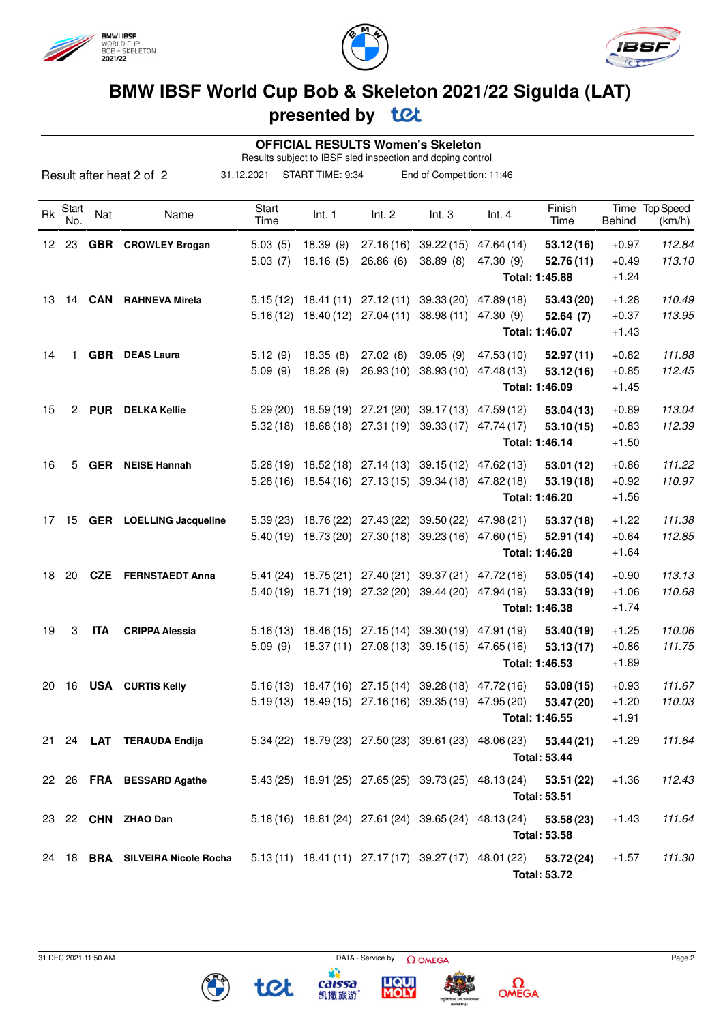





## **BMW IBSF World Cup Bob & Skeleton 2021/22 Sigulda (LAT)**

### **presented by**

|    |                      |            |                                 |               | <b>OFFICIAL RESULTS Women's Skeleton</b><br>Results subject to IBSF sled inspection and doping control |                       |                                             |            |                                   |                    |                          |
|----|----------------------|------------|---------------------------------|---------------|--------------------------------------------------------------------------------------------------------|-----------------------|---------------------------------------------|------------|-----------------------------------|--------------------|--------------------------|
|    |                      |            | Result after heat 2 of 2        | 31.12.2021    | START TIME: 9:34                                                                                       |                       | End of Competition: 11:46                   |            |                                   |                    |                          |
| Rk | Start<br>No.         | Nat        | Name                            | Start<br>Time | Int. 1                                                                                                 | Int. 2                | Int.3                                       | Int.4      | Finish<br>Time                    | Behind             | Time Top Speed<br>(km/h) |
| 12 | 23                   |            | <b>GBR</b> CROWLEY Brogan       | 5.03(5)       | 18.39(9)                                                                                               |                       | 27.16 (16) 39.22 (15)                       | 47.64 (14) | 53.12(16)                         | $+0.97$            | 112.84                   |
|    |                      |            |                                 | 5.03(7)       | 18.16(5)                                                                                               | 26.86(6)              | 38.89(8)                                    | 47.30 (9)  | 52.76(11)<br>Total: 1:45.88       | $+0.49$<br>$+1.24$ | 113.10                   |
| 13 | 14                   |            | <b>CAN</b> RAHNEVA Mirela       |               | $5.15(12)$ 18.41 (11) 27.12 (11) 39.33 (20)                                                            |                       |                                             | 47.89 (18) | 53.43 (20)                        | $+1.28$            | 110.49                   |
|    |                      |            |                                 |               | $5.16(12)$ 18.40(12) 27.04(11)                                                                         |                       | 38.98(11)                                   | 47.30 (9)  | 52.64(7)<br>Total: 1:46.07        | $+0.37$<br>$+1.43$ | 113.95                   |
| 14 | 1.                   | <b>GBR</b> | <b>DEAS Laura</b>               | 5.12(9)       | 18.35(8)                                                                                               | 27.02(8)              | 39.05(9)                                    | 47.53 (10) | 52.97(11)                         | $+0.82$            | 111.88                   |
|    |                      |            |                                 | 5.09(9)       | 18.28(9)                                                                                               | 26.93(10)             | 38.93(10)                                   | 47.48 (13) | 53.12(16)<br>Total: 1:46.09       | $+0.85$<br>$+1.45$ | 112.45                   |
| 15 | $\mathbf{2}^{\circ}$ | <b>PUR</b> | <b>DELKA Kellie</b>             | 5.29(20)      |                                                                                                        |                       | 18.59 (19) 27.21 (20) 39.17 (13) 47.59 (12) |            | 53.04(13)                         | $+0.89$            | 113.04                   |
|    |                      |            |                                 |               | 5.32 (18) 18.68 (18) 27.31 (19) 39.33 (17) 47.74 (17)                                                  |                       |                                             |            | 53.10(15)<br>Total: 1:46.14       | $+0.83$<br>$+1.50$ | 112.39                   |
| 16 | 5                    | <b>GER</b> | <b>NEISE Hannah</b>             |               | 5.28 (19) 18.52 (18) 27.14 (13) 39.15 (12)                                                             |                       |                                             | 47.62 (13) | 53.01 (12)                        | $+0.86$            | 111.22                   |
|    |                      |            |                                 |               | 5.28 (16) 18.54 (16) 27.13 (15) 39.34 (18)                                                             |                       |                                             | 47.82 (18) | 53.19(18)<br>Total: 1:46.20       | $+0.92$<br>$+1.56$ | 110.97                   |
| 17 | 15 <sub>1</sub>      |            | <b>GER</b> LOELLING Jacqueline  | 5.39(23)      |                                                                                                        |                       | 18.76 (22) 27.43 (22) 39.50 (22)            | 47.98 (21) | 53.37(18)                         | $+1.22$            | 111.38                   |
|    |                      |            |                                 |               | 5.40 (19) 18.73 (20) 27.30 (18) 39.23 (16) 47.60 (15)                                                  |                       |                                             |            | 52.91 (14)<br>Total: 1:46.28      | $+0.64$<br>$+1.64$ | 112.85                   |
| 18 | 20                   | <b>CZE</b> | <b>FERNSTAEDT Anna</b>          | 5.41(24)      |                                                                                                        | 18.75 (21) 27.40 (21) | 39.37 (21)                                  | 47.72 (16) | 53.05(14)                         | $+0.90$            | 113.13                   |
|    |                      |            |                                 |               | 5.40 (19) 18.71 (19) 27.32 (20)                                                                        |                       | 39.44 (20)                                  | 47.94 (19) | 53.33(19)<br>Total: 1:46.38       | $+1.06$<br>$+1.74$ | 110.68                   |
| 19 | 3                    | <b>ITA</b> | <b>CRIPPA Alessia</b>           |               | 5.16 (13) 18.46 (15) 27.15 (14) 39.30 (19) 47.91 (19)                                                  |                       |                                             |            | 53.40(19)                         | $+1.25$            | 110.06                   |
|    |                      |            |                                 | 5.09(9)       |                                                                                                        |                       | 18.37 (11) 27.08 (13) 39.15 (15) 47.65 (16) |            | 53.13(17)<br>Total: 1:46.53       | $+0.86$<br>$+1.89$ | 111.75                   |
|    |                      |            | 20 16 USA CURTIS Kelly          |               | $5.16(13)$ $18.47(16)$ $27.15(14)$ $39.28(18)$ $47.72(16)$                                             |                       |                                             |            | 53.08(15)                         | $+0.93$            | 111.67                   |
|    |                      |            |                                 |               | 5.19 (13) 18.49 (15) 27.16 (16) 39.35 (19) 47.95 (20)                                                  |                       |                                             |            | 53.47 (20)<br>Total: 1:46.55      | $+1.20$<br>$+1.91$ | 110.03                   |
|    |                      |            | 21 24 LAT TERAUDA Endija        |               | 5.34 (22) 18.79 (23) 27.50 (23) 39.61 (23) 48.06 (23)                                                  |                       |                                             |            | 53.44(21)<br><b>Total: 53.44</b>  | $+1.29$            | 111.64                   |
|    |                      |            | 22 26 FRA BESSARD Agathe        |               | 5.43 (25) 18.91 (25) 27.65 (25) 39.73 (25) 48.13 (24)                                                  |                       |                                             |            | 53.51 (22)<br><b>Total: 53.51</b> | $+1.36$            | 112.43                   |
|    |                      |            | 23 22 CHN ZHAO Dan              |               | 5.18 (16) 18.81 (24) 27.61 (24) 39.65 (24) 48.13 (24)                                                  |                       |                                             |            | 53.58 (23)<br><b>Total: 53.58</b> | $+1.43$            | 111.64                   |
|    |                      |            | 24 18 BRA SILVEIRA Nicole Rocha |               | 5.13 (11) 18.41 (11) 27.17 (17) 39.27 (17) 48.01 (22)                                                  |                       |                                             |            | 53.72 (24)<br><b>Total: 53.72</b> | $+1.57$            | 111.30                   |

45

caissa<br>凯撒旅游

tet